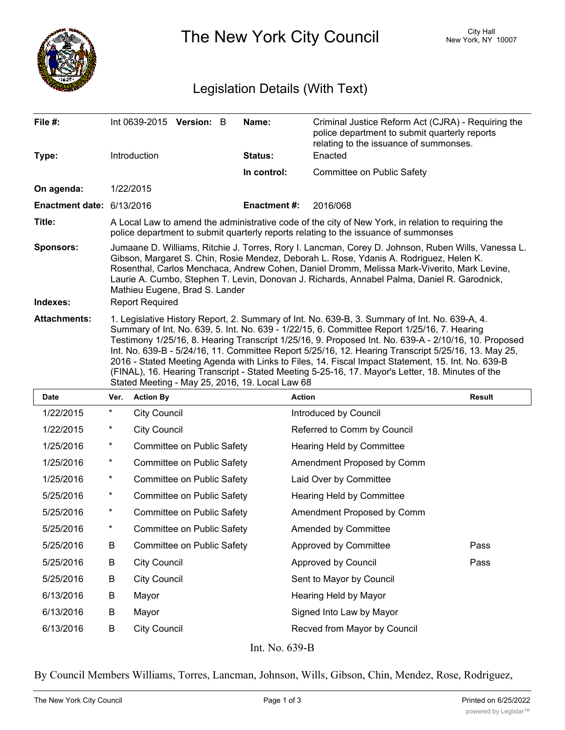

The New York City Council New York, NY 10007

## Legislation Details (With Text)

| File #:                   | Int 0639-2015 Version: B                                                                                                                                                                                                                                                                                                                                                                                                                                                                                                                                                                                                                                                | Name:               | Criminal Justice Reform Act (CJRA) - Requiring the<br>police department to submit quarterly reports<br>relating to the issuance of summonses. |  |  |
|---------------------------|-------------------------------------------------------------------------------------------------------------------------------------------------------------------------------------------------------------------------------------------------------------------------------------------------------------------------------------------------------------------------------------------------------------------------------------------------------------------------------------------------------------------------------------------------------------------------------------------------------------------------------------------------------------------------|---------------------|-----------------------------------------------------------------------------------------------------------------------------------------------|--|--|
| Type:                     | Introduction                                                                                                                                                                                                                                                                                                                                                                                                                                                                                                                                                                                                                                                            | Status:             | Enacted                                                                                                                                       |  |  |
|                           |                                                                                                                                                                                                                                                                                                                                                                                                                                                                                                                                                                                                                                                                         | In control:         | Committee on Public Safety                                                                                                                    |  |  |
| On agenda:                | 1/22/2015                                                                                                                                                                                                                                                                                                                                                                                                                                                                                                                                                                                                                                                               |                     |                                                                                                                                               |  |  |
| Enactment date: 6/13/2016 |                                                                                                                                                                                                                                                                                                                                                                                                                                                                                                                                                                                                                                                                         | <b>Enactment #:</b> | 2016/068                                                                                                                                      |  |  |
| Title:                    | A Local Law to amend the administrative code of the city of New York, in relation to requiring the<br>police department to submit quarterly reports relating to the issuance of summonses                                                                                                                                                                                                                                                                                                                                                                                                                                                                               |                     |                                                                                                                                               |  |  |
| <b>Sponsors:</b>          | Jumaane D. Williams, Ritchie J. Torres, Rory I. Lancman, Corey D. Johnson, Ruben Wills, Vanessa L.<br>Gibson, Margaret S. Chin, Rosie Mendez, Deborah L. Rose, Ydanis A. Rodriguez, Helen K.<br>Rosenthal, Carlos Menchaca, Andrew Cohen, Daniel Dromm, Melissa Mark-Viverito, Mark Levine,<br>Laurie A. Cumbo, Stephen T. Levin, Donovan J. Richards, Annabel Palma, Daniel R. Garodnick,<br>Mathieu Eugene, Brad S. Lander                                                                                                                                                                                                                                            |                     |                                                                                                                                               |  |  |
| Indexes:                  | <b>Report Required</b>                                                                                                                                                                                                                                                                                                                                                                                                                                                                                                                                                                                                                                                  |                     |                                                                                                                                               |  |  |
| <b>Attachments:</b>       | 1. Legislative History Report, 2. Summary of Int. No. 639-B, 3. Summary of Int. No. 639-A, 4.<br>Summary of Int. No. 639, 5. Int. No. 639 - 1/22/15, 6. Committee Report 1/25/16, 7. Hearing<br>Testimony 1/25/16, 8. Hearing Transcript 1/25/16, 9. Proposed Int. No. 639-A - 2/10/16, 10. Proposed<br>Int. No. 639-B - 5/24/16, 11. Committee Report 5/25/16, 12. Hearing Transcript 5/25/16, 13. May 25,<br>2016 - Stated Meeting Agenda with Links to Files, 14. Fiscal Impact Statement, 15. Int. No. 639-B<br>(FINAL), 16. Hearing Transcript - Stated Meeting 5-25-16, 17. Mayor's Letter, 18. Minutes of the<br>Stated Meeting - May 25, 2016, 19. Local Law 68 |                     |                                                                                                                                               |  |  |

| <b>Date</b> | Ver.     | <b>Action By</b>           | <b>Action</b>                | <b>Result</b> |
|-------------|----------|----------------------------|------------------------------|---------------|
| 1/22/2015   | $^\star$ | <b>City Council</b>        | Introduced by Council        |               |
| 1/22/2015   | $\ast$   | <b>City Council</b>        | Referred to Comm by Council  |               |
| 1/25/2016   | $\star$  | Committee on Public Safety | Hearing Held by Committee    |               |
| 1/25/2016   | $\ast$   | Committee on Public Safety | Amendment Proposed by Comm   |               |
| 1/25/2016   | $\star$  | Committee on Public Safety | Laid Over by Committee       |               |
| 5/25/2016   | $\ast$   | Committee on Public Safety | Hearing Held by Committee    |               |
| 5/25/2016   | $\star$  | Committee on Public Safety | Amendment Proposed by Comm   |               |
| 5/25/2016   | $\ast$   | Committee on Public Safety | Amended by Committee         |               |
| 5/25/2016   | B        | Committee on Public Safety | Approved by Committee        | Pass          |
| 5/25/2016   | B        | <b>City Council</b>        | Approved by Council          | Pass          |
| 5/25/2016   | B        | <b>City Council</b>        | Sent to Mayor by Council     |               |
| 6/13/2016   | B        | Mayor                      | Hearing Held by Mayor        |               |
| 6/13/2016   | B        | Mayor                      | Signed Into Law by Mayor     |               |
| 6/13/2016   | B        | <b>City Council</b>        | Recved from Mayor by Council |               |
|             |          |                            |                              |               |

Int. No. 639-B

By Council Members Williams, Torres, Lancman, Johnson, Wills, Gibson, Chin, Mendez, Rose, Rodriguez,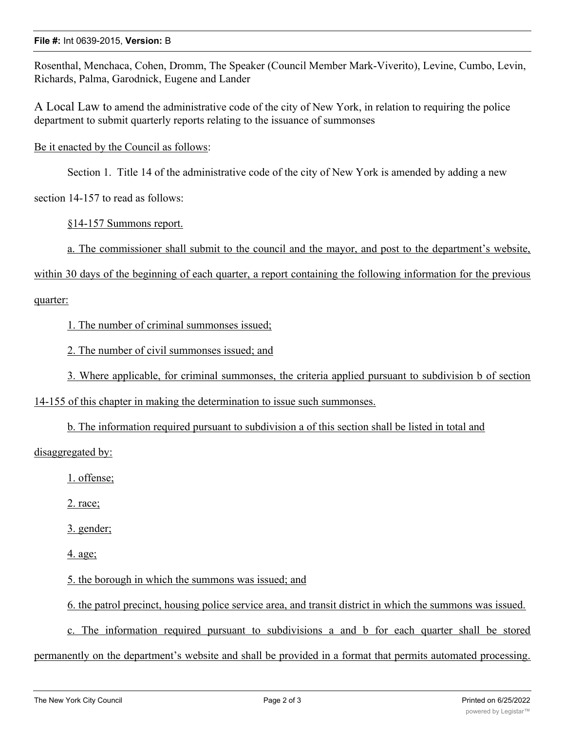## **File #:** Int 0639-2015, **Version:** B

Rosenthal, Menchaca, Cohen, Dromm, The Speaker (Council Member Mark-Viverito), Levine, Cumbo, Levin, Richards, Palma, Garodnick, Eugene and Lander

A Local Law to amend the administrative code of the city of New York, in relation to requiring the police department to submit quarterly reports relating to the issuance of summonses

Be it enacted by the Council as follows:

Section 1. Title 14 of the administrative code of the city of New York is amended by adding a new

section 14-157 to read as follows:

§14-157 Summons report.

a. The commissioner shall submit to the council and the mayor, and post to the department's website,

within 30 days of the beginning of each quarter, a report containing the following information for the previous

## quarter:

1. The number of criminal summonses issued;

2. The number of civil summonses issued; and

3. Where applicable, for criminal summonses, the criteria applied pursuant to subdivision b of section

14-155 of this chapter in making the determination to issue such summonses.

b. The information required pursuant to subdivision a of this section shall be listed in total and

disaggregated by:

1. offense;

2. race;

3. gender;

4. age;

5. the borough in which the summons was issued; and

6. the patrol precinct, housing police service area, and transit district in which the summons was issued.

c. The information required pursuant to subdivisions a and b for each quarter shall be stored

permanently on the department's website and shall be provided in a format that permits automated processing.